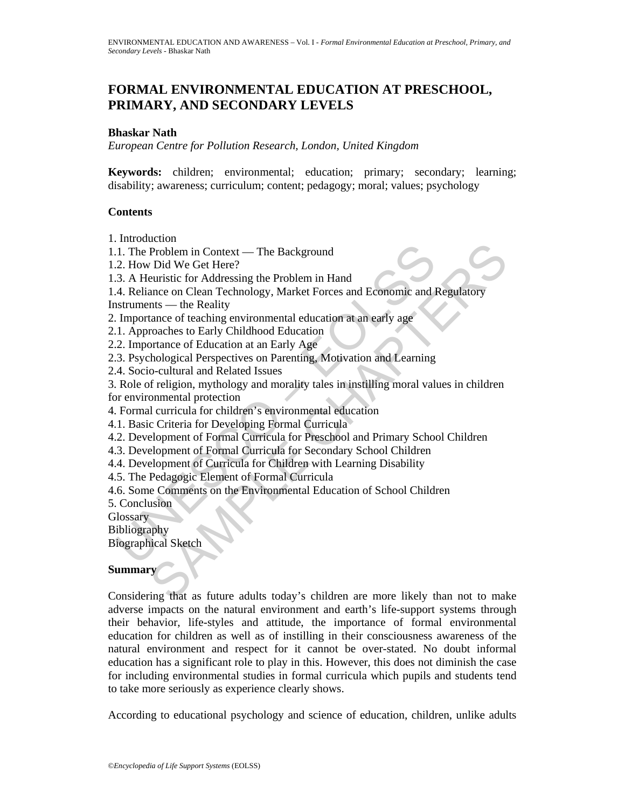# **FORMAL ENVIRONMENTAL EDUCATION AT PRESCHOOL, PRIMARY, AND SECONDARY LEVELS**

#### **Bhaskar Nath**

*European Centre for Pollution Research, London, United Kingdom* 

**Keywords:** children; environmental; education; primary; secondary; learning; disability; awareness; curriculum; content; pedagogy; moral; values; psychology

#### **Contents**

1. Introduction

1.1. The Problem in Context — The Background

1.2. How Did We Get Here?

1.3. A Heuristic for Addressing the Problem in Hand

1.4. Reliance on Clean Technology, Market Forces and Economic and Regulatory

Instruments — the Reality

2. Importance of teaching environmental education at an early age

2.1. Approaches to Early Childhood Education

2.2. Importance of Education at an Early Age

2.3. Psychological Perspectives on Parenting, Motivation and Learning

2.4. Socio-cultural and Related Issues

1. The Problem in Context — The Background<br>
2. How Did We Get Here?<br>
3. A Heuristic for Addressing the Problem in Hand<br>
4. Reliance on Clean Technology, Market Forces and Economic and I<br>
4. Reliance on Clean Technology, Ma Example The Background<br>
Problem in Context — The Background<br>
Problem in Contessing the Problem in Hand<br>
example of Addressing the Problem in Hand<br>
anace on Cleaning environmental education at an early age<br>
trace of eaching 3. Role of religion, mythology and morality tales in instilling moral values in children for environmental protection

4. Formal curricula for children's environmental education

4.1. Basic Criteria for Developing Formal Curricula

4.2. Development of Formal Curricula for Preschool and Primary School Children

4.3. Development of Formal Curricula for Secondary School Children

4.4. Development of Curricula for Children with Learning Disability

4.5. The Pedagogic Element of Formal Curricula

4.6. Some Comments on the Environmental Education of School Children

5. Conclusion

**Glossary** 

Bibliography

Biographical Sketch

#### **Summary**

Considering that as future adults today's children are more likely than not to make adverse impacts on the natural environment and earth's life-support systems through their behavior, life-styles and attitude, the importance of formal environmental education for children as well as of instilling in their consciousness awareness of the natural environment and respect for it cannot be over-stated. No doubt informal education has a significant role to play in this. However, this does not diminish the case for including environmental studies in formal curricula which pupils and students tend to take more seriously as experience clearly shows.

According to educational psychology and science of education, children, unlike adults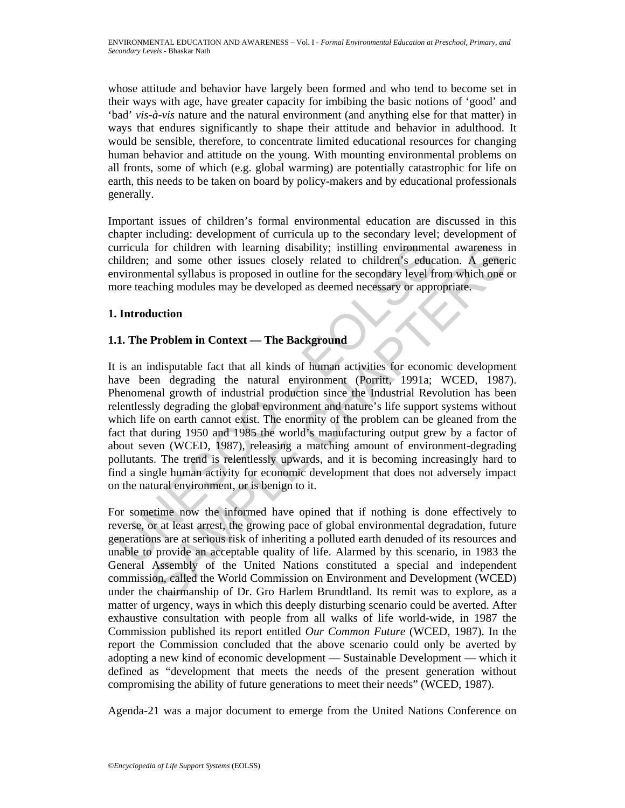whose attitude and behavior have largely been formed and who tend to become set in their ways with age, have greater capacity for imbibing the basic notions of 'good' and 'bad' *vis-à-vis* nature and the natural environment (and anything else for that matter) in ways that endures significantly to shape their attitude and behavior in adulthood. It would be sensible, therefore, to concentrate limited educational resources for changing human behavior and attitude on the young. With mounting environmental problems on all fronts, some of which (e.g. global warming) are potentially catastrophic for life on earth, this needs to be taken on board by policy-makers and by educational professionals generally.

Important issues of children's formal environmental education are discussed in this chapter including: development of curricula up to the secondary level; development of curricula for children with learning disability; instilling environmental awareness in children; and some other issues closely related to children's education. A generic environmental syllabus is proposed in outline for the secondary level from which one or more teaching modules may be developed as deemed necessary or appropriate.

## **1. Introduction**

## **1.1. The Problem in Context — The Background**

urricula for children with learning disability; instilling environment<br>indiren; and some other issues closely related to children's educ:<br>nvironmental syllabus is proposed in outline for the secondary level fr<br>ore teaching for children with learning disability; instilling environmental awareness in<br>and some other issues closely related to children's education. A generic<br>nental syllabus is proposed in outline for the secondary level from whi It is an indisputable fact that all kinds of human activities for economic development have been degrading the natural environment (Porritt, 1991a; WCED, 1987). Phenomenal growth of industrial production since the Industrial Revolution has been relentlessly degrading the global environment and nature's life support systems without which life on earth cannot exist. The enormity of the problem can be gleaned from the fact that during 1950 and 1985 the world's manufacturing output grew by a factor of about seven (WCED, 1987), releasing a matching amount of environment-degrading pollutants. The trend is relentlessly upwards, and it is becoming increasingly hard to find a single human activity for economic development that does not adversely impact on the natural environment, or is benign to it.

For sometime now the informed have opined that if nothing is done effectively to reverse, or at least arrest, the growing pace of global environmental degradation, future generations are at serious risk of inheriting a polluted earth denuded of its resources and unable to provide an acceptable quality of life. Alarmed by this scenario, in 1983 the General Assembly of the United Nations constituted a special and independent commission, called the World Commission on Environment and Development (WCED) under the chairmanship of Dr. Gro Harlem Brundtland. Its remit was to explore, as a matter of urgency, ways in which this deeply disturbing scenario could be averted. After exhaustive consultation with people from all walks of life world-wide, in 1987 the Commission published its report entitled *Our Common Future* (WCED, 1987). In the report the Commission concluded that the above scenario could only be averted by adopting a new kind of economic development — Sustainable Development — which it defined as "development that meets the needs of the present generation without compromising the ability of future generations to meet their needs" (WCED, 1987).

Agenda-21 was a major document to emerge from the United Nations Conference on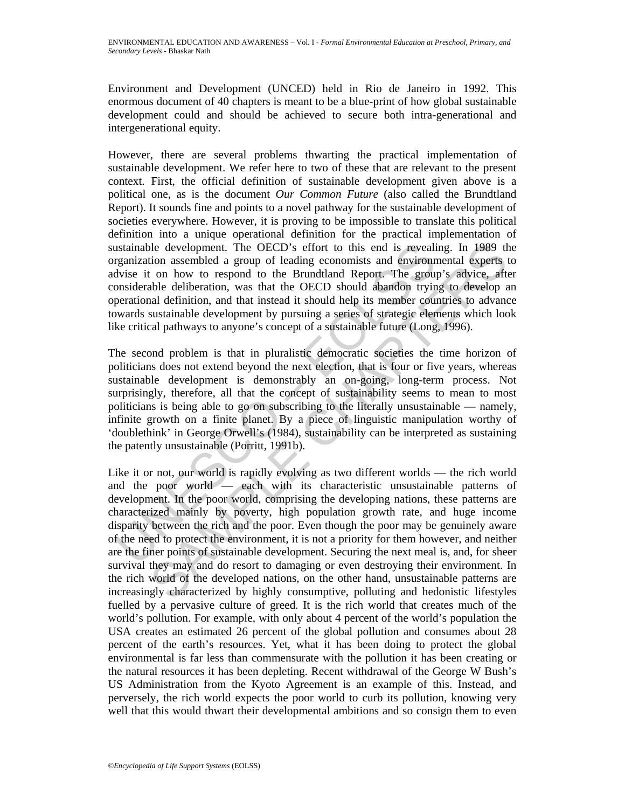Environment and Development (UNCED) held in Rio de Janeiro in 1992. This enormous document of 40 chapters is meant to be a blue-print of how global sustainable development could and should be achieved to secure both intra-generational and intergenerational equity.

However, there are several problems thwarting the practical implementation of sustainable development. We refer here to two of these that are relevant to the present context. First, the official definition of sustainable development given above is a political one, as is the document *Our Common Future* (also called the Brundtland Report). It sounds fine and points to a novel pathway for the sustainable development of societies everywhere. However, it is proving to be impossible to translate this political definition into a unique operational definition for the practical implementation of sustainable development. The OECD's effort to this end is revealing. In 1989 the organization assembled a group of leading economists and environmental experts to advise it on how to respond to the Brundtland Report. The group's advice, after considerable deliberation, was that the OECD should abandon trying to develop an operational definition, and that instead it should help its member countries to advance towards sustainable development by pursuing a series of strategic elements which look like critical pathways to anyone's concept of a sustainable future (Long, 1996).

astainable development. The OECD's effort to this end is revealing<br>equalization assembled a group of leading economists and environment<br>dvise it on how to respond to the Brundtland Report. The group<br>onsiderable deliberatio The second problem is that in pluralistic democratic societies the time horizon of politicians does not extend beyond the next election, that is four or five years, whereas sustainable development is demonstrably an on-going, long-term process. Not surprisingly, therefore, all that the concept of sustainability seems to mean to most politicians is being able to go on subscribing to the literally unsustainable — namely, infinite growth on a finite planet. By a piece of linguistic manipulation worthy of 'doublethink' in George Orwell's (1984), sustainability can be interpreted as sustaining the patently unsustainable (Porritt, 1991b).

ble development. The OECD's effort to this end is revealing. In 1989 the domassing of leading economists and environmental experts the on how to respond to the Brundtland Report. The group's advice, after the deliberation, Like it or not, our world is rapidly evolving as two different worlds — the rich world and the poor world — each with its characteristic unsustainable patterns of development. In the poor world, comprising the developing nations, these patterns are characterized mainly by poverty, high population growth rate, and huge income disparity between the rich and the poor. Even though the poor may be genuinely aware of the need to protect the environment, it is not a priority for them however, and neither are the finer points of sustainable development. Securing the next meal is, and, for sheer survival they may and do resort to damaging or even destroying their environment. In the rich world of the developed nations, on the other hand, unsustainable patterns are increasingly characterized by highly consumptive, polluting and hedonistic lifestyles fuelled by a pervasive culture of greed. It is the rich world that creates much of the world's pollution. For example, with only about 4 percent of the world's population the USA creates an estimated 26 percent of the global pollution and consumes about 28 percent of the earth's resources. Yet, what it has been doing to protect the global environmental is far less than commensurate with the pollution it has been creating or the natural resources it has been depleting. Recent withdrawal of the George W Bush's US Administration from the Kyoto Agreement is an example of this. Instead, and perversely, the rich world expects the poor world to curb its pollution, knowing very well that this would thwart their developmental ambitions and so consign them to even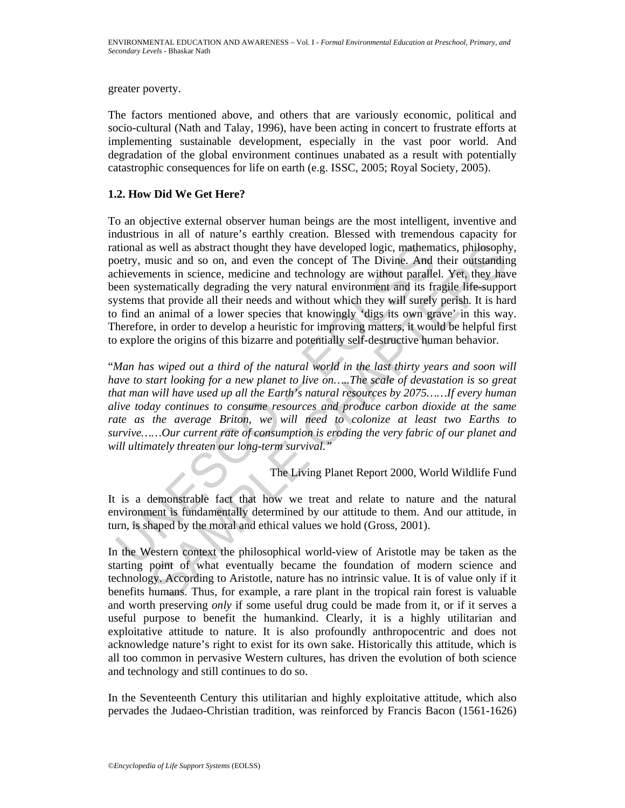greater poverty.

The factors mentioned above, and others that are variously economic, political and socio-cultural (Nath and Talay, 1996), have been acting in concert to frustrate efforts at implementing sustainable development, especially in the vast poor world. And degradation of the global environment continues unabated as a result with potentially catastrophic consequences for life on earth (e.g. ISSC, 2005; Royal Society, 2005).

## **1.2. How Did We Get Here?**

it is a suell as abstract thought they have developed logic, mathemational as well as abstract thought they have developed logic, mathemationery, music and so on, and even the concept of The Divine. And even there are tech is well as abstract thought they have developed logic, mathematics, philosophy<br>
munite and so on, and even the concept of The Divine. And their outstandine<br>
munite in science, medicine and technology are without parallel. To an objective external observer human beings are the most intelligent, inventive and industrious in all of nature's earthly creation. Blessed with tremendous capacity for rational as well as abstract thought they have developed logic, mathematics, philosophy, poetry, music and so on, and even the concept of The Divine. And their outstanding achievements in science, medicine and technology are without parallel. Yet, they have been systematically degrading the very natural environment and its fragile life-support systems that provide all their needs and without which they will surely perish. It is hard to find an animal of a lower species that knowingly 'digs its own grave' in this way. Therefore, in order to develop a heuristic for improving matters, it would be helpful first to explore the origins of this bizarre and potentially self-destructive human behavior.

"*Man has wiped out a third of the natural world in the last thirty years and soon will have to start looking for a new planet to live on…..The scale of devastation is so great that man will have used up all the Earth's natural resources by 2075……If every human alive today continues to consume resources and produce carbon dioxide at the same*  rate as the average Briton, we will need to colonize at least two Earths to *survive……Our current rate of consumption is eroding the very fabric of our planet and will ultimately threaten our long-term survival."*

The Living Planet Report 2000, World Wildlife Fund

It is a demonstrable fact that how we treat and relate to nature and the natural environment is fundamentally determined by our attitude to them. And our attitude, in turn, is shaped by the moral and ethical values we hold (Gross, 2001).

In the Western context the philosophical world-view of Aristotle may be taken as the starting point of what eventually became the foundation of modern science and technology. According to Aristotle, nature has no intrinsic value. It is of value only if it benefits humans. Thus, for example, a rare plant in the tropical rain forest is valuable and worth preserving *only* if some useful drug could be made from it, or if it serves a useful purpose to benefit the humankind. Clearly, it is a highly utilitarian and exploitative attitude to nature. It is also profoundly anthropocentric and does not acknowledge nature's right to exist for its own sake. Historically this attitude, which is all too common in pervasive Western cultures, has driven the evolution of both science and technology and still continues to do so.

In the Seventeenth Century this utilitarian and highly exploitative attitude, which also pervades the Judaeo-Christian tradition, was reinforced by Francis Bacon (1561-1626)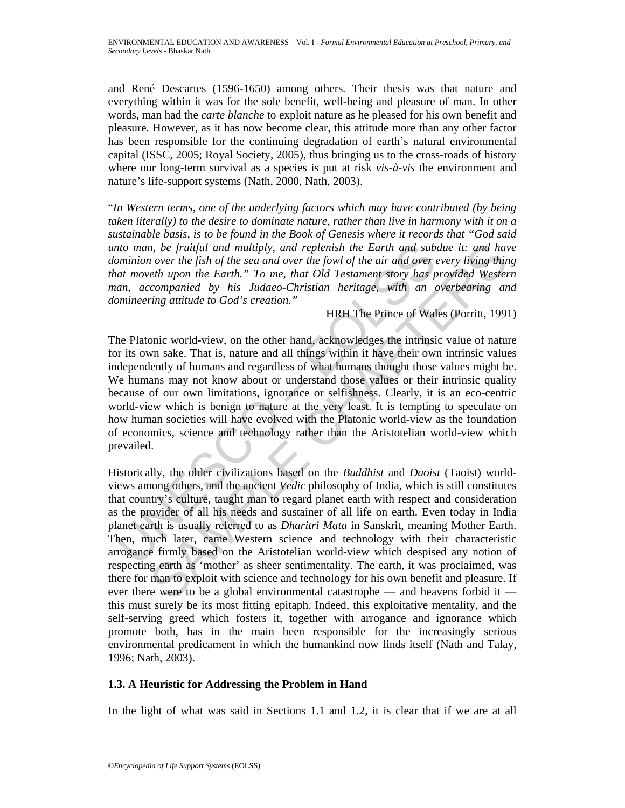and René Descartes (1596-1650) among others. Their thesis was that nature and everything within it was for the sole benefit, well-being and pleasure of man. In other words, man had the *carte blanche* to exploit nature as he pleased for his own benefit and pleasure. However, as it has now become clear, this attitude more than any other factor has been responsible for the continuing degradation of earth's natural environmental capital (ISSC, 2005; Royal Society, 2005), thus bringing us to the cross-roads of history where our long-term survival as a species is put at risk *vis-à-vis* the environment and nature's life-support systems (Nath, 2000, Nath, 2003).

"*In Western terms, one of the underlying factors which may have contributed (by being taken literally) to the desire to dominate nature, rather than live in harmony with it on a sustainable basis, is to be found in the Book of Genesis where it records that "God said unto man, be fruitful and multiply, and replenish the Earth and subdue it: and have dominion over the fish of the sea and over the fowl of the air and over every living thing that moveth upon the Earth." To me, that Old Testament story has provided Western man, accompanied by his Judaeo-Christian heritage, with an overbearing and domineering attitude to God's creation."*

HRH The Prince of Wales (Porritt, 1991)

nto man, be fruitful and multiply, and replenish the Earth and sub-<br>ominion over the fish of the sea and over the fowl of the air and over and move<br>the fact in  $T_0$  me, that Old Testament story has parameters<br>can movel u The Platonic world-view, on the other hand, acknowledges the intrinsic value of nature for its own sake. That is, nature and all things within it have their own intrinsic values independently of humans and regardless of what humans thought those values might be. We humans may not know about or understand those values or their intrinsic quality because of our own limitations, ignorance or selfishness. Clearly, it is an eco-centric world-view which is benign to nature at the very least. It is tempting to speculate on how human societies will have evolved with the Platonic world-view as the foundation of economics, science and technology rather than the Aristotelian world-view which prevailed.

m, be fruitful and multiply, and replenish the Earth and subdue it: and have the fish of the is and over the fish of the is and over the fowl of the dir and over every living thin  $\omega$  or the fish of the cand over the fow Historically, the older civilizations based on the *Buddhist* and *Daoist* (Taoist) worldviews among others, and the ancient *Vedic* philosophy of India, which is still constitutes that country's culture, taught man to regard planet earth with respect and consideration as the provider of all his needs and sustainer of all life on earth. Even today in India planet earth is usually referred to as *Dharitri Mata* in Sanskrit, meaning Mother Earth. Then, much later, came Western science and technology with their characteristic arrogance firmly based on the Aristotelian world-view which despised any notion of respecting earth as 'mother' as sheer sentimentality. The earth, it was proclaimed, was there for man to exploit with science and technology for his own benefit and pleasure. If ever there were to be a global environmental catastrophe — and heavens forbid it this must surely be its most fitting epitaph. Indeed, this exploitative mentality, and the self-serving greed which fosters it, together with arrogance and ignorance which promote both, has in the main been responsible for the increasingly serious environmental predicament in which the humankind now finds itself (Nath and Talay, 1996; Nath, 2003).

## **1.3. A Heuristic for Addressing the Problem in Hand**

In the light of what was said in Sections 1.1 and 1.2, it is clear that if we are at all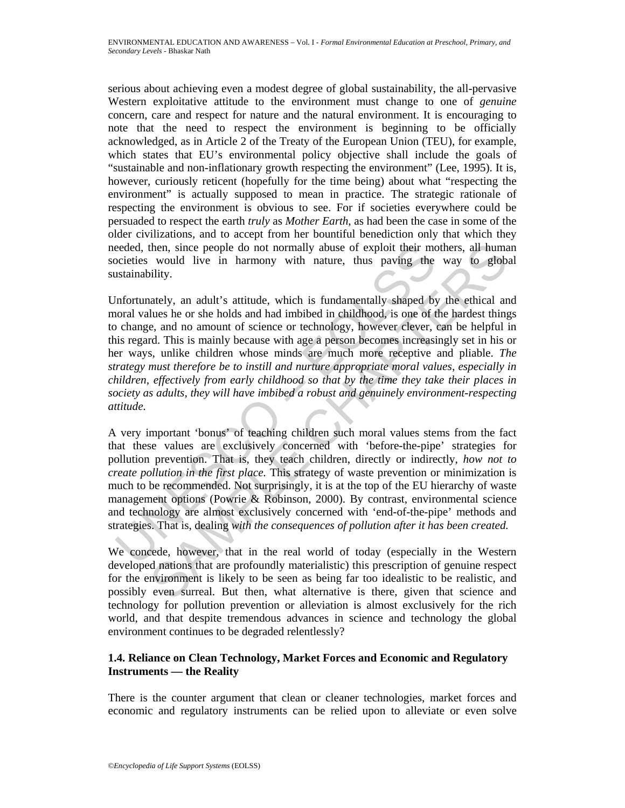serious about achieving even a modest degree of global sustainability, the all-pervasive Western exploitative attitude to the environment must change to one of *genuine*  concern, care and respect for nature and the natural environment. It is encouraging to note that the need to respect the environment is beginning to be officially acknowledged, as in Article 2 of the Treaty of the European Union (TEU), for example, which states that EU's environmental policy objective shall include the goals of "sustainable and non-inflationary growth respecting the environment" (Lee, 1995). It is, however, curiously reticent (hopefully for the time being) about what "respecting the environment" is actually supposed to mean in practice. The strategic rationale of respecting the environment is obvious to see. For if societies everywhere could be persuaded to respect the earth *truly* as *Mother Earth*, as had been the case in some of the older civilizations, and to accept from her bountiful benediction only that which they needed, then, since people do not normally abuse of exploit their mothers, all human societies would live in harmony with nature, thus paving the way to global sustainability.

eeded, then, since people do not normally abuse of exploit their mocieties would live in harmony with nature, thus paving the stainability.<br>
Infortunately, an adult's attitude, which is fundamentally shaped by<br>
Infortunate then, since people do not normally abuse of exploit their mothers, all huma<br>would live in harmony with nature, thus paving the way to glob:<br>would live in harmony with nature, thus paving the way to glob;<br>hitly,<br>anely, an a Unfortunately, an adult's attitude, which is fundamentally shaped by the ethical and moral values he or she holds and had imbibed in childhood, is one of the hardest things to change, and no amount of science or technology, however clever, can be helpful in this regard. This is mainly because with age a person becomes increasingly set in his or her ways, unlike children whose minds are much more receptive and pliable. *The strategy must therefore be to instill and nurture appropriate moral values, especially in children, effectively from early childhood so that by the time they take their places in society as adults, they will have imbibed a robust and genuinely environment-respecting attitude.*

A very important 'bonus' of teaching children such moral values stems from the fact that these values are exclusively concerned with 'before-the-pipe' strategies for pollution prevention. That is, they teach children, directly or indirectly, *how not to create pollution in the first place.* This strategy of waste prevention or minimization is much to be recommended. Not surprisingly, it is at the top of the EU hierarchy of waste management options (Powrie & Robinson, 2000). By contrast, environmental science and technology are almost exclusively concerned with 'end-of-the-pipe' methods and strategies. That is, dealing *with the consequences of pollution after it has been created.* 

We concede, however, that in the real world of today (especially in the Western developed nations that are profoundly materialistic) this prescription of genuine respect for the environment is likely to be seen as being far too idealistic to be realistic, and possibly even surreal. But then, what alternative is there, given that science and technology for pollution prevention or alleviation is almost exclusively for the rich world, and that despite tremendous advances in science and technology the global environment continues to be degraded relentlessly?

### **1.4. Reliance on Clean Technology, Market Forces and Economic and Regulatory Instruments — the Reality**

There is the counter argument that clean or cleaner technologies, market forces and economic and regulatory instruments can be relied upon to alleviate or even solve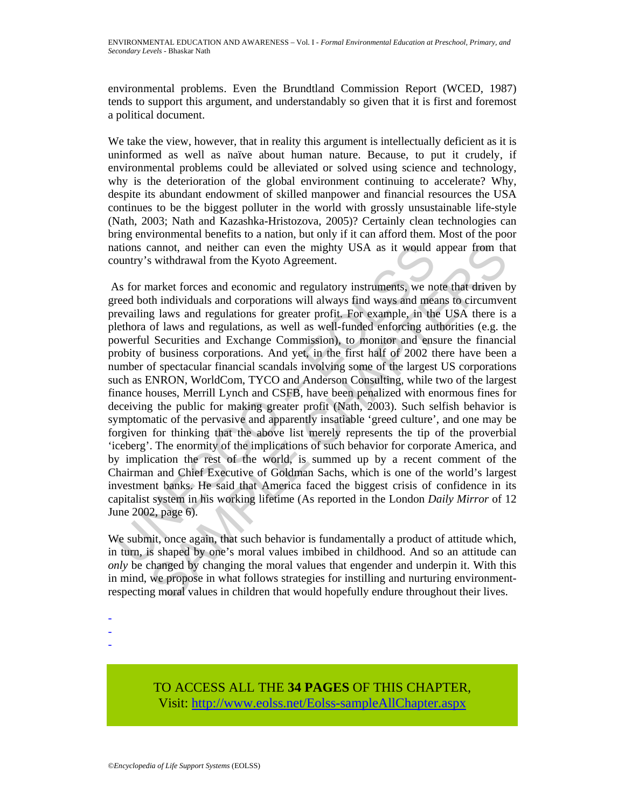environmental problems. Even the Brundtland Commission Report (WCED, 1987) tends to support this argument, and understandably so given that it is first and foremost a political document.

We take the view, however, that in reality this argument is intellectually deficient as it is uninformed as well as naïve about human nature. Because, to put it crudely, if environmental problems could be alleviated or solved using science and technology, why is the deterioration of the global environment continuing to accelerate? Why, despite its abundant endowment of skilled manpower and financial resources the USA continues to be the biggest polluter in the world with grossly unsustainable life-style (Nath, 2003; Nath and Kazashka-Hristozova, 2005)? Certainly clean technologies can bring environmental benefits to a nation, but only if it can afford them. Most of the poor nations cannot, and neither can even the mighty USA as it would appear from that country's withdrawal from the Kyoto Agreement.

ations cannot, and neither can even the mighty USA as it would a<br>country's withdrawal from the Kyoto Agreement.<br>As for market forces and economic and regulatory instruments, we need both individuals and corporations will a cannot, and neither can even the mighty USA as it would appear from the withdrawal from the Kyoto Agreement.<br>
market forces and economic and regulatory instruments, we note that driven bi nicilvivals and corporations will As for market forces and economic and regulatory instruments, we note that driven by greed both individuals and corporations will always find ways and means to circumvent prevailing laws and regulations for greater profit. For example, in the USA there is a plethora of laws and regulations, as well as well-funded enforcing authorities (e.g. the powerful Securities and Exchange Commission), to monitor and ensure the financial probity of business corporations. And yet, in the first half of 2002 there have been a number of spectacular financial scandals involving some of the largest US corporations such as ENRON, WorldCom, TYCO and Anderson Consulting, while two of the largest finance houses, Merrill Lynch and CSFB, have been penalized with enormous fines for deceiving the public for making greater profit (Nath, 2003). Such selfish behavior is symptomatic of the pervasive and apparently insatiable 'greed culture', and one may be forgiven for thinking that the above list merely represents the tip of the proverbial 'iceberg'. The enormity of the implications of such behavior for corporate America, and by implication the rest of the world, is summed up by a recent comment of the Chairman and Chief Executive of Goldman Sachs, which is one of the world's largest investment banks. He said that America faced the biggest crisis of confidence in its capitalist system in his working lifetime (As reported in the London *Daily Mirror* of 12 June 2002, page 6).

We submit, once again, that such behavior is fundamentally a product of attitude which, in turn, is shaped by one's moral values imbibed in childhood. And so an attitude can *only* be changed by changing the moral values that engender and underpin it. With this in mind, we propose in what follows strategies for instilling and nurturing environmentrespecting moral values in children that would hopefully endure throughout their lives.

-

-

TO ACCESS ALL THE **34 PAGES** OF THIS CHAPTER, Visit[: http://www.eolss.net/Eolss-sampleAllChapter.aspx](https://www.eolss.net/ebooklib/sc_cart.aspx?File=E4-16-01)

<sup>-</sup>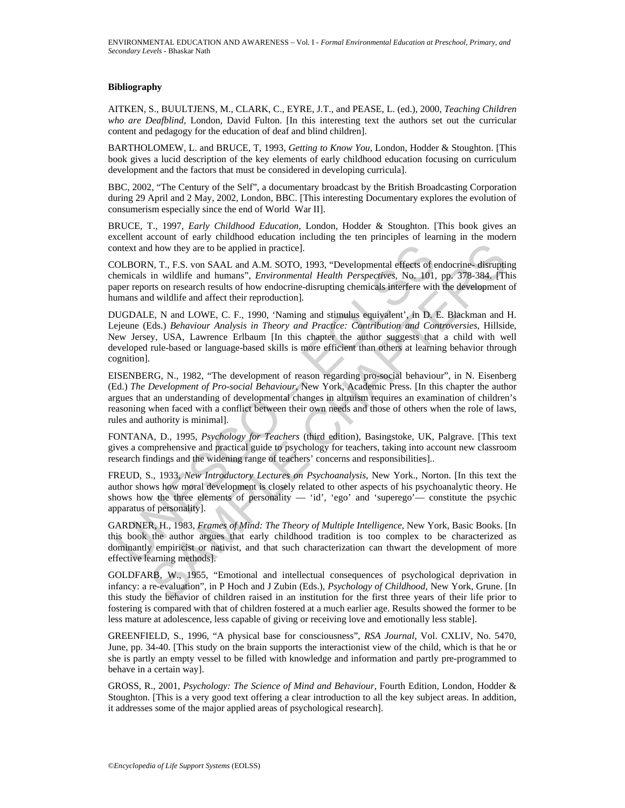#### **Bibliography**

AITKEN, S., BUULTJENS, M., CLARK, C., EYRE, J.T., and PEASE, L. (ed.), 2000, *Teaching Children who are Deafblind,* London, David Fulton. [In this interesting text the authors set out the curricular content and pedagogy for the education of deaf and blind children].

BARTHOLOMEW, L. and BRUCE, T, 1993, *Getting to Know You*, London, Hodder & Stoughton. [This book gives a lucid description of the key elements of early childhood education focusing on curriculum development and the factors that must be considered in developing curricula].

BBC, 2002, "The Century of the Self", a documentary broadcast by the British Broadcasting Corporation during 29 April and 2 May, 2002, London, BBC. [This interesting Documentary explores the evolution of consumerism especially since the end of World War II].

BRUCE, T., 1997, *Early Childhood Education*, London, Hodder & Stoughton. [This book gives an excellent account of early childhood education including the ten principles of learning in the modern context and how they are to be applied in practice].

COLBORN, T., F.S. von SAAL and A.M. SOTO, 1993, "Developmental effects of endocrine- disrupting chemicals in wildlife and humans", *Environmental Health Perspectives*, No. 101, pp. 378-384. [This paper reports on research results of how endocrine-disrupting chemicals interfere with the development of humans and wildlife and affect their reproduction].

ontext and how they are to be applied in practice].<br>
OLBORN, T., F.S. von SAAL and A.M. SOTO, 1993, "Developmental effects of enemicals in wildlife and humans". *Environmental Health Perspectives*, No. 101, neuper reports d how they are to be applied in practice].<br>
N. T., F.S. von SAAL and A.M. SOTO, 1993, "Developmental effects of endocrine-disruptin<br>
in wildlife and humans", *Environmental Health Perspectives*, No. 101, pp. 378-384. [The DUGDALE, N and LOWE, C. F., 1990, 'Naming and stimulus equivalent', in D. E. Blackman and H. Lejeune (Eds.) *Behaviour Analysis in Theory and Practice: Contribution and Controversies*, Hillside, New Jersey, USA, Lawrence Erlbaum [In this chapter the author suggests that a child with well developed rule-based or language-based skills is more efficient than others at learning behavior through cognition].

EISENBERG, N., 1982, "The development of reason regarding pro-social behaviour", in N. Eisenberg (Ed.) *The Development of Pro-social Behaviour*, New York, Academic Press. [In this chapter the author argues that an understanding of developmental changes in altruism requires an examination of children's reasoning when faced with a conflict between their own needs and those of others when the role of laws, rules and authority is minimal].

FONTANA, D., 1995, *Psychology for Teachers* (third edition), Basingstoke, UK, Palgrave. [This text gives a comprehensive and practical guide to psychology for teachers, taking into account new classroom research findings and the widening range of teachers' concerns and responsibilities]..

FREUD, S., 1933, *New Introductory Lectures on Psychoanalysis*, New York., Norton. [In this text the author shows how moral development is closely related to other aspects of his psychoanalytic theory. He shows how the three elements of personality — 'id', 'ego' and 'superego'— constitute the psychic apparatus of personality].

GARDNER, H., 1983, *Frames of Mind: The Theory of Multiple Intelligence*, New York, Basic Books. [In this book the author argues that early childhood tradition is too complex to be characterized as dominantly empiricist or nativist, and that such characterization can thwart the development of more effective learning methods].

GOLDFARB, W., 1955, "Emotional and intellectual consequences of psychological deprivation in infancy: a re-evaluation", in P Hoch and J Zubin (Eds.), *Psychology of Childhood*, New York, Grune. [In this study the behavior of children raised in an institution for the first three years of their life prior to fostering is compared with that of children fostered at a much earlier age. Results showed the former to be less mature at adolescence, less capable of giving or receiving love and emotionally less stable].

GREENFIELD, S., 1996, "A physical base for consciousness", *RSA Journal*, Vol. CXLIV, No. 5470, June, pp. 34-40. [This study on the brain supports the interactionist view of the child, which is that he or she is partly an empty vessel to be filled with knowledge and information and partly pre-programmed to behave in a certain way].

GROSS, R., 2001, *Psychology: The Science of Mind and Behaviour*, Fourth Edition, London, Hodder & Stoughton. [This is a very good text offering a clear introduction to all the key subject areas. In addition, it addresses some of the major applied areas of psychological research].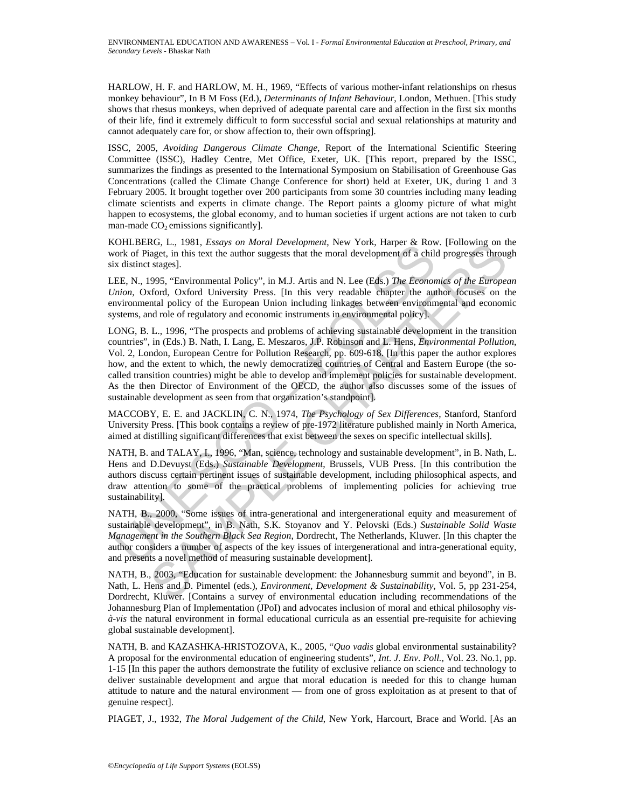HARLOW, H. F. and HARLOW, M. H., 1969, "Effects of various mother-infant relationships on rhesus monkey behaviour", In B M Foss (Ed.), *Determinants of Infant Behaviour*, London, Methuen. [This study shows that rhesus monkeys, when deprived of adequate parental care and affection in the first six months of their life, find it extremely difficult to form successful social and sexual relationships at maturity and cannot adequately care for, or show affection to, their own offspring].

ISSC, 2005, *Avoiding Dangerous Climate Change*, Report of the International Scientific Steering Committee (ISSC), Hadley Centre, Met Office, Exeter, UK. [This report, prepared by the ISSC, summarizes the findings as presented to the International Symposium on Stabilisation of Greenhouse Gas Concentrations (called the Climate Change Conference for short) held at Exeter, UK, during 1 and 3 February 2005. It brought together over 200 participants from some 30 countries including many leading climate scientists and experts in climate change. The Report paints a gloomy picture of what might happen to ecosystems, the global economy, and to human societies if urgent actions are not taken to curb man-made  $CO<sub>2</sub>$  emissions significantly].

KOHLBERG, L., 1981, *Essays on Moral Development*, New York, Harper & Row. [Following on the work of Piaget, in this text the author suggests that the moral development of a child progresses through six distinct stages].

LEE, N., 1995, "Environmental Policy", in M.J. Artis and N. Lee (Eds.) *The Economics of the European Union*, Oxford, Oxford University Press. [In this very readable chapter the author focuses on the environmental policy of the European Union including linkages between environmental and economic systems, and role of regulatory and economic instruments in environmental policy].

OrLEDGN, L., 1991, Exstay on *Motu Development*, two Tork, rapper  $\alpha$  Footh, Falget and this leart the section of  $\alpha$  Figget, in this text the author suggests that the moral development of a child  $\alpha$  distinct stages]. KO, L., 1981, *Essays on Moral Development*, New York, rapper & Kow. Urolowing on the Southern and Development of a child progression from the stages).<br>
Singer, in this text the author suggests that the moral development o LONG, B. L., 1996, "The prospects and problems of achieving sustainable development in the transition countries", in (Eds.) B. Nath, I. Lang, E. Meszaros, J.P. Robinson and L. Hens, *Environmental Pollution*, Vol. 2, London, European Centre for Pollution Research, pp. 609-618. [In this paper the author explores how, and the extent to which, the newly democratized countries of Central and Eastern Europe (the socalled transition countries) might be able to develop and implement policies for sustainable development. As the then Director of Environment of the OECD, the author also discusses some of the issues of sustainable development as seen from that organization's standpoint].

MACCOBY, E. E. and JACKLIN, C. N., 1974, *The Psychology of Sex Differences*, Stanford, Stanford University Press. [This book contains a review of pre-1972 literature published mainly in North America, aimed at distilling significant differences that exist between the sexes on specific intellectual skills].

NATH, B. and TALAY, I., 1996, "Man, science, technology and sustainable development", in B. Nath, L. Hens and D.Devuyst (Eds.) *Sustainable Development*, Brussels, VUB Press. [In this contribution the authors discuss certain pertinent issues of sustainable development, including philosophical aspects, and draw attention to some of the practical problems of implementing policies for achieving true sustainability].

NATH, B., 2000, "Some issues of intra-generational and intergenerational equity and measurement of sustainable development", in B. Nath, S.K. Stoyanov and Y. Pelovski (Eds.) *Sustainable Solid Waste Management in the Southern Black Sea Region*, Dordrecht, The Netherlands, Kluwer. [In this chapter the author considers a number of aspects of the key issues of intergenerational and intra-generational equity, and presents a novel method of measuring sustainable development].

NATH, B., 2003, "Education for sustainable development: the Johannesburg summit and beyond", in B. Nath, L. Hens and D. Pimentel (eds.), *Environment, Development & Sustainability*, Vol. 5, pp 231-254, Dordrecht, Kluwer. [Contains a survey of environmental education including recommendations of the Johannesburg Plan of Implementation (JPoI) and advocates inclusion of moral and ethical philosophy *visà-vis* the natural environment in formal educational curricula as an essential pre-requisite for achieving global sustainable development].

NATH, B. and KAZASHKA-HRISTOZOVA, K., 2005, "*Quo vadis* global environmental sustainability? A proposal for the environmental education of engineering students", *Int. J. Env. Poll.,* Vol. 23. No.1, pp. 1-15 [In this paper the authors demonstrate the futility of exclusive reliance on science and technology to deliver sustainable development and argue that moral education is needed for this to change human attitude to nature and the natural environment — from one of gross exploitation as at present to that of genuine respect].

PIAGET, J., 1932, *The Moral Judgement of the Child*, New York, Harcourt, Brace and World. [As an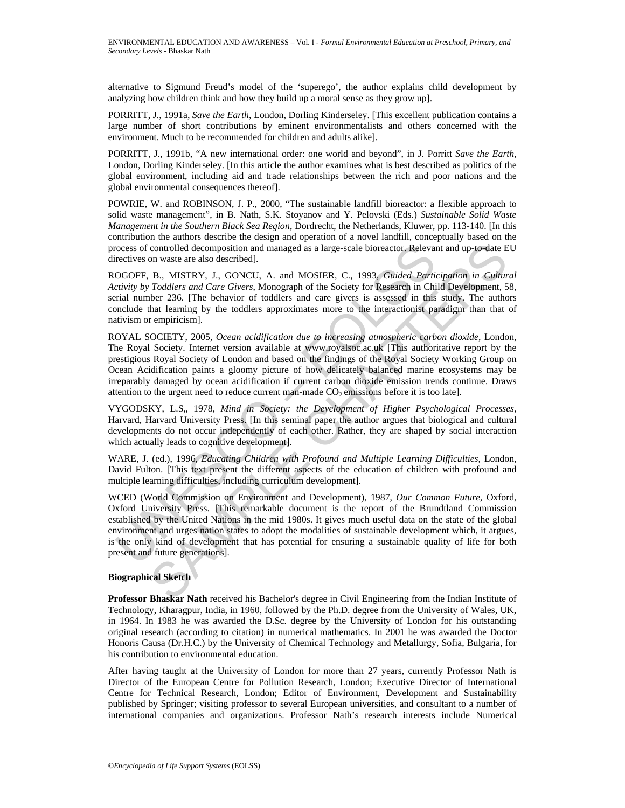alternative to Sigmund Freud's model of the 'superego', the author explains child development by analyzing how children think and how they build up a moral sense as they grow up].

PORRITT, J., 1991a, *Save the Earth*, London, Dorling Kinderseley. [This excellent publication contains a large number of short contributions by eminent environmentalists and others concerned with the environment. Much to be recommended for children and adults alike].

PORRITT, J., 1991b, "A new international order: one world and beyond", in J. Porritt *Save the Earth*, London, Dorling Kinderseley. [In this article the author examines what is best described as politics of the global environment, including aid and trade relationships between the rich and poor nations and the global environmental consequences thereof].

POWRIE, W. and ROBINSON, J. P., 2000, "The sustainable landfill bioreactor: a flexible approach to solid waste management", in B. Nath, S.K. Stoyanov and Y. Pelovski (Eds.) *Sustainable Solid Waste Management in the Southern Black Sea Region*, Dordrecht, the Netherlands, Kluwer, pp. 113-140. [In this contribution the authors describe the design and operation of a novel landfill, conceptually based on the process of controlled decomposition and managed as a large-scale bioreactor. Relevant and up-to-date EU directives on waste are also described].

ROGOFF, B., MISTRY, J., GONCU, A. and MOSIER, C., 1993, *Guided Participation in Cultural Activity by Toddlers and Care Givers*, Monograph of the Society for Research in Child Development, 58, serial number 236. [The behavior of toddlers and care givers is assessed in this study. The authors conclude that learning by the toddlers approximates more to the interactionist paradigm than that of nativism or empiricism].

ROYAL SOCIETY, 2005, *Ocean acidification due to increasing atmospheric carbon dioxide*, London, The Royal Society. Internet version available at www.royalsoc.ac.uk [This authoritative report by the prestigious Royal Society of London and based on the findings of the Royal Society Working Group on Ocean Acidification paints a gloomy picture of how delicately balanced marine ecosystems may be irreparably damaged by ocean acidification if current carbon dioxide emission trends continue. Draws attention to the urgent need to reduce current man-made  $CO<sub>2</sub>$  emissions before it is too late].

VYGODSKY, L.S" 1978, *Mind in Society: the Development of Higher Psychological Processes,* Harvard, Harvard University Press. [In this seminal paper the author argues that biological and cultural developments do not occur independently of each other. Rather, they are shaped by social interaction which actually leads to cognitive development].

WARE, J. (ed.), 1996, *Educating Children with Profound and Multiple Learning Difficulties,* London, David Fulton. [This text present the different aspects of the education of children with profound and multiple learning difficulties, including curriculum development].

ocess of controlled decomposition and managed as a large-scale bioreactor. Relevancure<br>rectives on waste are also described].<br>OGOFF, B., MISTRY, J., GONCU, A. and MOSIER, C., 1993, *Guided Particivity by Toddlers and Care* controlled decomposition and managed as a large-scale bioreactor. Relevant and up-to-date ED was the are lasto described].<br>
B., MISTRY, J., GONCU, A. and MOSIER, C., 1993, *Guided. Participation in Cultura Toddlers and Car* WCED (World Commission on Environment and Development), 1987, *Our Common Future*, Oxford, Oxford University Press. [This remarkable document is the report of the Brundtland Commission established by the United Nations in the mid 1980s. It gives much useful data on the state of the global environment and urges nation states to adopt the modalities of sustainable development which, it argues, is the only kind of development that has potential for ensuring a sustainable quality of life for both present and future generations].

#### **Biographical Sketch**

**Professor Bhaskar Nath** received his Bachelor's degree in Civil Engineering from the Indian Institute of Technology, Kharagpur, India, in 1960, followed by the Ph.D. degree from the University of Wales, UK, in 1964. In 1983 he was awarded the D.Sc. degree by the University of London for his outstanding original research (according to citation) in numerical mathematics. In 2001 he was awarded the Doctor Honoris Causa (Dr.H.C.) by the University of Chemical Technology and Metallurgy, Sofia, Bulgaria, for his contribution to environmental education.

After having taught at the University of London for more than 27 years, currently Professor Nath is Director of the European Centre for Pollution Research, London; Executive Director of International Centre for Technical Research, London; Editor of Environment, Development and Sustainability published by Springer; visiting professor to several European universities, and consultant to a number of international companies and organizations. Professor Nath's research interests include Numerical